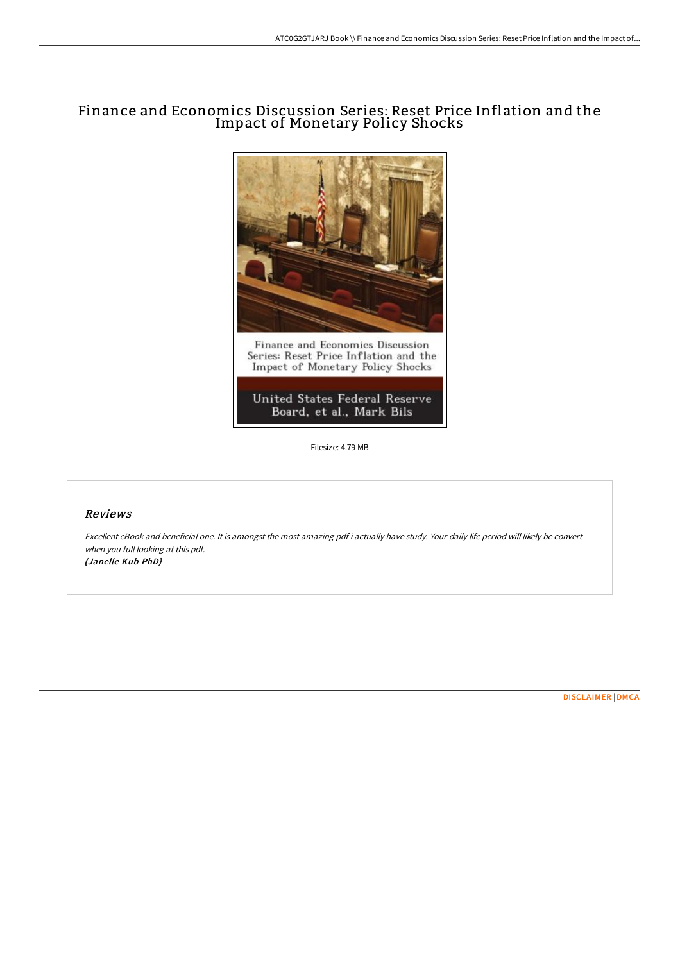# Finance and Economics Discussion Series: Reset Price Inflation and the Impact of Monetary Policy Shocks



United States Federal Reserve Board, et al., Mark Bils

Filesize: 4.79 MB

### Reviews

Excellent eBook and beneficial one. It is amongst the most amazing pdf i actually have study. Your daily life period will likely be convert when you full looking at this pdf. (Janelle Kub PhD)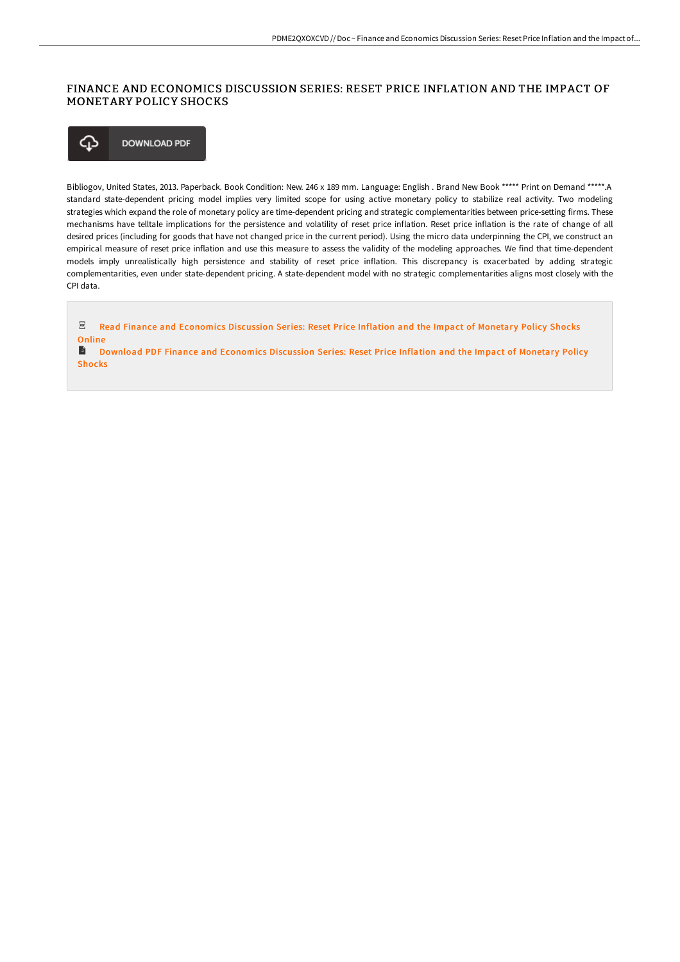### FINANCE AND ECONOMICS DISCUSSION SERIES: RESET PRICE INFLATION AND THE IMPACT OF MONETARY POLICY SHOCKS

⊕ **DOWNLOAD PDF** 

Bibliogov, United States, 2013. Paperback. Book Condition: New. 246 x 189 mm. Language: English . Brand New Book \*\*\*\*\* Print on Demand \*\*\*\*\*.A standard state-dependent pricing model implies very limited scope for using active monetary policy to stabilize real activity. Two modeling strategies which expand the role of monetary policy are time-dependent pricing and strategic complementarities between price-setting firms. These mechanisms have telltale implications for the persistence and volatility of reset price inflation. Reset price inflation is the rate of change of all desired prices (including for goods that have not changed price in the current period). Using the micro data underpinning the CPI, we construct an empirical measure of reset price inflation and use this measure to assess the validity of the modeling approaches. We find that time-dependent models imply unrealistically high persistence and stability of reset price inflation. This discrepancy is exacerbated by adding strategic complementarities, even under state-dependent pricing. A state-dependent model with no strategic complementarities aligns most closely with the CPI data.

 $_{\rm PDF}$ Read Finance and [Economics](http://digilib.live/finance-and-economics-discussion-series-reset-pr.html) Discussion Series: Reset Price Inflation and the Impact of Monetary Policy Shocks **Online** 

**D** Download PDF Finance and [Economics](http://digilib.live/finance-and-economics-discussion-series-reset-pr.html) Discussion Series: Reset Price Inflation and the Impact of Monetary Policy Shocks